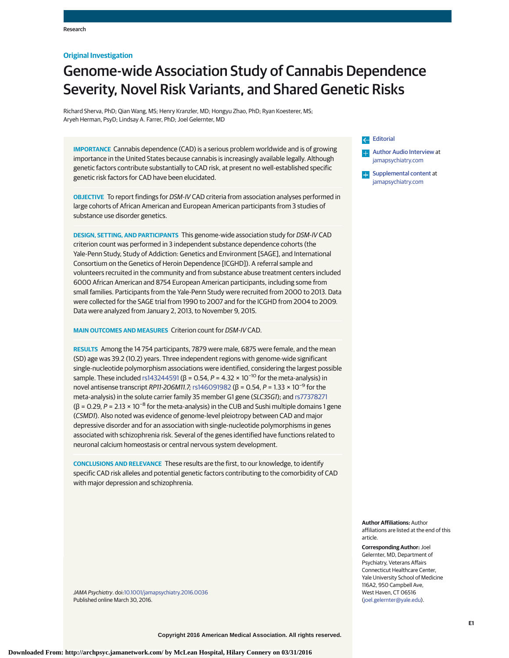## **Original Investigation**

# Genome-wide Association Study of Cannabis Dependence Severity, Novel Risk Variants, and Shared Genetic Risks

Richard Sherva, PhD; Qian Wang, MS; Henry Kranzler, MD; Hongyu Zhao, PhD; Ryan Koesterer, MS; Aryeh Herman, PsyD; Lindsay A. Farrer, PhD; Joel Gelernter, MD

**IMPORTANCE** Cannabis dependence (CAD) is a serious problem worldwide and is of growing importance in the United States because cannabis is increasingly available legally. Although genetic factors contribute substantially to CAD risk, at present no well-established specific genetic risk factors for CAD have been elucidated.

**OBJECTIVE** To report findings for DSM-IV CAD criteria from association analyses performed in large cohorts of African American and European American participants from 3 studies of substance use disorder genetics.

**DESIGN, SETTING, AND PARTICIPANTS** This genome-wide association study for DSM-IV CAD criterion count was performed in 3 independent substance dependence cohorts (the Yale-Penn Study, Study of Addiction: Genetics and Environment [SAGE], and International Consortium on the Genetics of Heroin Dependence [ICGHD]). A referral sample and volunteers recruited in the community and from substance abuse treatment centers included 6000 African American and 8754 European American participants, including some from small families. Participants from the Yale-Penn Study were recruited from 2000 to 2013. Data were collected for the SAGE trial from 1990 to 2007 and for the ICGHD from 2004 to 2009. Data were analyzed from January 2, 2013, to November 9, 2015.

**MAIN OUTCOMES AND MEASURES** Criterion count for DSM-IV CAD.

**RESULTS** Among the 14 754 participants, 7879 were male, 6875 were female, and the mean (SD) age was 39.2 (10.2) years. Three independent regions with genome-wide significant single-nucleotide polymorphism associations were identified, considering the largest possible sample. These included [rs143244591](http://www.ncbi.nlm.nih.gov/snp/143244591) ( $\beta$  = 0.54,  $P$  = 4.32 × 10<sup>-10</sup> for the meta-analysis) in novel antisense transcript RP11-206M11.7; [rs146091982](http://www.ncbi.nlm.nih.gov/snp/146091982) (β = 0.54, P = 1.33 × 10<sup>-9</sup> for the meta-analysis) in the solute carrier family 35 member G1 gene (SLC35G1); and [rs77378271](http://www.ncbi.nlm.nih.gov/snp/77378271) ( $\beta$  = 0.29, P = 2.13 × 10<sup>-8</sup> for the meta-analysis) in the CUB and Sushi multiple domains 1 gene (CSMD1). Also noted was evidence of genome-level pleiotropy between CAD and major depressive disorder and for an association with single-nucleotide polymorphisms in genes associated with schizophrenia risk. Several of the genes identified have functions related to neuronal calcium homeostasis or central nervous system development.

**CONCLUSIONS AND RELEVANCE** These results are the first, to our knowledge, to identify specific CAD risk alleles and potential genetic factors contributing to the comorbidity of CAD with major depression and schizophrenia.

[Editorial](http://jama.jamanetwork.com/article.aspx?doi=10.1001/jamapsychiatry.2016.0046&utm_campaign=articlePDF%26utm_medium=articlePDFlink%26utm_source=articlePDF%26utm_content=jamapsychiatry.2016.0036)

[Author Audio Interview](http://jama.jamanetwork.com/article.aspx?doi=10.1001/jamapsychiatry.2016.0036&utm_campaign=articlePDF%26utm_medium=articlePDFlink%26utm_source=articlePDF%26utm_content=jamapsychiatry.2016.0036) at [jamapsychiatry.com](http://www.jamapsychiatry.com/?utm_campaign=articlePDF%26utm_medium=articlePDFlink%26utm_source=articlePDF%26utm_content=jamapsychiatry.2016.0036)

**[Supplemental content](http://jama.jamanetwork.com/article.aspx?doi=10.1001/jamapsychiatry.2016.0036&utm_campaign=articlePDF%26utm_medium=articlePDFlink%26utm_source=articlePDF%26utm_content=jamapsychiatry.2016.0036) at** [jamapsychiatry.com](http://www.jamapsychiatry.com/?utm_campaign=articlePDF%26utm_medium=articlePDFlink%26utm_source=articlePDF%26utm_content=jamapsychiatry.2016.0036)

**Author Affiliations:** Author affiliations are listed at the end of this article.

**Corresponding Author:** Joel Gelernter, MD, Department of Psychiatry, Veterans Affairs Connecticut Healthcare Center, Yale University School of Medicine 116A2, 950 Campbell Ave, West Haven, CT 06516 [\(joel.gelernter@yale.edu\)](mailto:joel.gelernter@yale.edu).

JAMA Psychiatry. doi[:10.1001/jamapsychiatry.2016.0036](http://jama.jamanetwork.com/article.aspx?doi=10.1001/jamapsychiatry.2016.0036&utm_campaign=articlePDF%26utm_medium=articlePDFlink%26utm_source=articlePDF%26utm_content=jamapsychiatry.2016.0036) Published online March 30, 2016.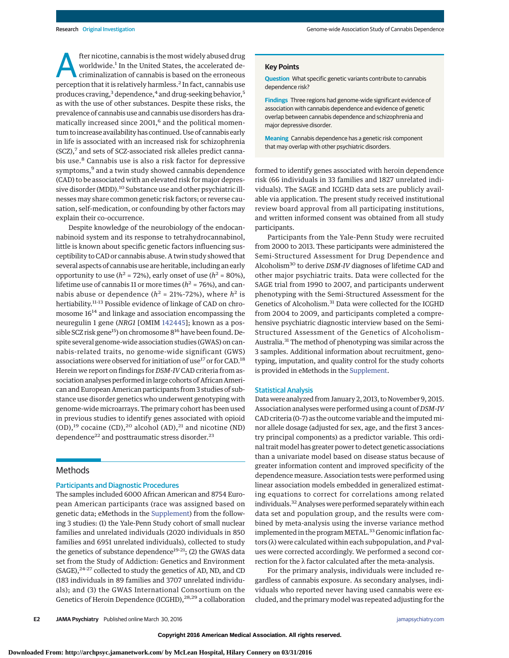fter nicotine, cannabis is the most widely abused drug<br>worldwide.<sup>1</sup> In the United States, the accelerated de-<br>criminalization of cannabis is based on the erroneous<br>parcention that it is relatively harmloss <sup>2</sup> In fact, ca worldwide.<sup>1</sup> In the United States, the accelerated deperception that it is relatively harmless.<sup>2</sup> In fact, cannabis use produces craving,<sup>3</sup> dependence,<sup>4</sup> and drug-seeking behavior,<sup>5</sup> as with the use of other substances. Despite these risks, the prevalence of cannabis use and cannabis use disorders has dramatically increased since 2001,<sup>6</sup> and the political momentum to increase availability has continued. Use of cannabis early in life is associated with an increased risk for schizophrenia  $(SCZ)$ ,<sup>7</sup> and sets of SCZ-associated risk alleles predict cannabis use.<sup>8</sup> Cannabis use is also a risk factor for depressive symptoms,<sup>9</sup> and a twin study showed cannabis dependence (CAD) to be associated with an elevated risk for major depressive disorder (MDD).<sup>10</sup> Substance use and other psychiatric illnesses may share common genetic risk factors; or reverse causation, self-medication, or confounding by other factors may explain their co-occurrence.

Despite knowledge of the neurobiology of the endocannabinoid system and its response to tetrahydrocannabinol, little is known about specific genetic factors influencing susceptibility to CAD or cannabis abuse. A twin study showed that several aspects of cannabis use are heritable, including an early opportunity to use ( $h^2$  = 72%), early onset of use ( $h^2$  = 80%), lifetime use of cannabis 11 or more times ( $h^2$  = 76%), and cannabis abuse or dependence ( $h^2$  = 21%-72%), where  $h^2$  is hertiability.<sup>11-13</sup> Possible evidence of linkage of CAD on chromosome  $16^{14}$  and linkage and association encompassing the neuregulin 1 gene (*NRG1* [OMIM [142445\]](http://omim.org/entry/142445); known as a possible SCZ risk gene<sup>15</sup>) on chromosome 8<sup>16</sup> have been found. Despite several genome-wide association studies (GWAS) on cannabis-related traits, no genome-wide significant (GWS) associations were observed for initiation of use<sup>17</sup> or for CAD.<sup>18</sup> Herein we report on findings for *DSM-IV*CAD criteria from association analyses performed in large cohorts of African American and European American participants from 3 studies of substance use disorder genetics who underwent genotyping with genome-wide microarrays. The primary cohort has been used in previous studies to identify genes associated with opioid  $(OD)$ ,<sup>19</sup> cocaine  $(CD)$ ,<sup>20</sup> alcohol  $(AD)$ ,<sup>21</sup> and nicotine  $(ND)$ dependence<sup>22</sup> and posttraumatic stress disorder.<sup>23</sup>

## Methods

### Participants and Diagnostic Procedures

The samples included 6000 African American and 8754 European American participants (race was assigned based on genetic data; eMethods in the [Supplement\)](http://jama.jamanetwork.com/article.aspx?doi=10.1001/jamapsychiatry.2016.0036&utm_campaign=articlePDF%26utm_medium=articlePDFlink%26utm_source=articlePDF%26utm_content=jamapsychiatry.2016.0036) from the following 3 studies: (1) the Yale-Penn Study cohort of small nuclear families and unrelated individuals (2020 individuals in 850 families and 6951 unrelated individuals), collected to study the genetics of substance dependence<sup>19-21</sup>; (2) the GWAS data set from the Study of Addiction: Genetics and Environment  $(SAGE),<sup>24-27</sup>$  collected to study the genetics of AD, ND, and CD (183 individuals in 89 families and 3707 unrelated individuals); and (3) the GWAS International Consortium on the Genetics of Heroin Dependence (ICGHD),<sup>28,29</sup> a collaboration **Question** What specific genetic variants contribute to cannabis dependence risk?

**Findings** Three regions had genome-wide significant evidence of association with cannabis dependence and evidence of genetic overlap between cannabis dependence and schizophrenia and major depressive disorder.

**Meaning** Cannabis dependence has a genetic risk component that may overlap with other psychiatric disorders.

formed to identify genes associated with heroin dependence risk (66 individuals in 33 families and 1827 unrelated individuals). The SAGE and ICGHD data sets are publicly available via application. The present study received institutional review board approval from all participating institutions, and written informed consent was obtained from all study participants.

Participants from the Yale-Penn Study were recruited from 2000 to 2013. These participants were administered the Semi-Structured Assessment for Drug Dependence and Alcoholism30 to derive *DSM-IV* diagnoses of lifetime CAD and other major psychiatric traits. Data were collected for the SAGE trial from 1990 to 2007, and participants underwent phenotyping with the Semi-Structured Assessment for the Genetics of Alcoholism.31 Data were collected for the ICGHD from 2004 to 2009, and participants completed a comprehensive psychiatric diagnostic interview based on the Semi-Structured Assessment of the Genetics of Alcoholism– Australia.31 The method of phenotyping was similar across the 3 samples. Additional information about recruitment, genotyping, imputation, and quality control for the study cohorts is provided in eMethods in the [Supplement.](http://jama.jamanetwork.com/article.aspx?doi=10.1001/jamapsychiatry.2016.0036&utm_campaign=articlePDF%26utm_medium=articlePDFlink%26utm_source=articlePDF%26utm_content=jamapsychiatry.2016.0036)

#### Statistical Analysis

Data were analyzed from January 2, 2013, to November 9, 2015. Association analyses were performed using a count of *DSM-IV* CAD criteria (0-7) as the outcome variable and the imputedminor allele dosage (adjusted for sex, age, and the first 3 ancestry principal components) as a predictor variable. This ordinal traitmodel has greater power to detect genetic associations than a univariate model based on disease status because of greater information content and improved specificity of the dependence measure. Association tests were performed using linear association models embedded in generalized estimating equations to correct for correlations among related individuals.32Analyses were performed separately within each data set and population group, and the results were combined by meta-analysis using the inverse variance method implemented in the program METAL.<sup>33</sup> Genomic inflation factors (λ) were calculated within each subpopulation, and *P* values were corrected accordingly. We performed a second correction for the λ factor calculated after the meta-analysis.

For the primary analysis, individuals were included regardless of cannabis exposure. As secondary analyses, individuals who reported never having used cannabis were excluded, and the primary model was repeated adjusting for the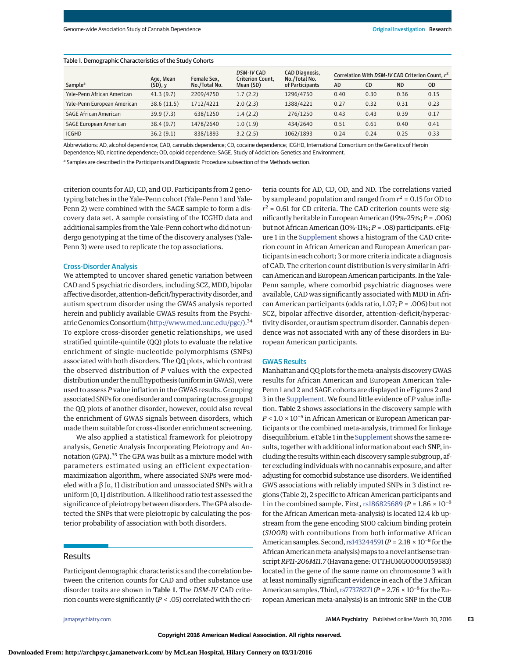Table 1. Demographic Characteristics of the Study Cohorts

|                               | Age, Mean  | Female Sex.   | <b>DSM-IV CAD</b><br><b>Criterion Count.</b> | <b>CAD Diagnosis,</b><br>No./Total No. | Correlation With DSM-IV CAD Criterion Count. r <sup>2</sup> |      |           |      |
|-------------------------------|------------|---------------|----------------------------------------------|----------------------------------------|-------------------------------------------------------------|------|-----------|------|
| Sample <sup>a</sup>           | (SD), v    | No./Total No. | Mean (SD)                                    | of Participants                        | <b>AD</b><br><b>CD</b>                                      |      | <b>ND</b> | 0D   |
| Yale-Penn African American    | 41.3(9.7)  | 2209/4750     | 1.7(2.2)                                     | 1296/4750                              | 0.40                                                        | 0.30 | 0.36      | 0.15 |
| Yale-Penn European American   | 38.6(11.5) | 1712/4221     | 2.0(2.3)                                     | 1388/4221                              | 0.27                                                        | 0.32 | 0.31      | 0.23 |
| <b>SAGE African American</b>  | 39.9(7.3)  | 638/1250      | 1.4(2.2)                                     | 276/1250                               | 0.43                                                        | 0.43 | 0.39      | 0.17 |
| <b>SAGE European American</b> | 38.4(9.7)  | 1478/2640     | 1.0(1.9)                                     | 434/2640                               | 0.51                                                        | 0.61 | 0.40      | 0.41 |
| <b>ICGHD</b>                  | 36.2(9.1)  | 838/1893      | 3.2(2.5)                                     | 1062/1893                              | 0.24                                                        | 0.24 | 0.25      | 0.33 |

Abbreviations: AD, alcohol dependence; CAD, cannabis dependence; CD, cocaine dependence; ICGHD, International Consortium on the Genetics of Heroin Dependence; ND, nicotine dependence; OD, opioid dependence; SAGE, Study of Addiction: Genetics and Environment.

a Samples are described in the Participants and Diagnostic Procedure subsection of the Methods section.

criterion counts for AD, CD, and OD. Participants from 2 genotyping batches in the Yale-Penn cohort (Yale-Penn 1 and Yale-Penn 2) were combined with the SAGE sample to form a discovery data set. A sample consisting of the ICGHD data and additional samples from the Yale-Penn cohort who did not undergo genotyping at the time of the discovery analyses (Yale-Penn 3) were used to replicate the top associations.

#### Cross-Disorder Analysis

We attempted to uncover shared genetic variation between CAD and 5 psychiatric disorders, including SCZ, MDD, bipolar affective disorder, attention-deficit/hyperactivity disorder, and autism spectrum disorder using the GWAS analysis reported herein and publicly available GWAS results from the Psychiatric Genomics Consortium [\(http://www.med.unc.edu/pgc/\).3](http://www.med.unc.edu/pgc/)4 To explore cross-disorder genetic relationships, we used stratified quintile-quintile (QQ) plots to evaluate the relative enrichment of single-nucleotide polymorphisms (SNPs) associated with both disorders. The QQ plots, which contrast the observed distribution of *P* values with the expected distribution under the null hypothesis (uniform in GWAS), were used to assess *P* value inflation in the GWAS results. Grouping associated SNPs for one disorder and comparing (across groups) the QQ plots of another disorder, however, could also reveal the enrichment of GWAS signals between disorders, which made them suitable for cross-disorder enrichment screening.

We also applied a statistical framework for pleiotropy analysis, Genetic Analysis Incorporating Pleiotropy and Annotation (GPA).<sup>35</sup> The GPA was built as a mixture model with parameters estimated using an efficient expectationmaximization algorithm, where associated SNPs were modeled with a  $\beta$  [a, 1] distribution and unassociated SNPs with a uniform [0, 1] distribution. A likelihood ratio test assessed the significance of pleiotropy between disorders. The GPA also detected the SNPs that were pleiotropic by calculating the posterior probability of association with both disorders.

## Results

Participant demographic characteristics and the correlation between the criterion counts for CAD and other substance use disorder traits are shown in Table 1. The *DSM-IV* CAD criterion counts were significantly (*P* < .05) correlated with the criteria counts for AD, CD, OD, and ND. The correlations varied by sample and population and ranged from *r*<sup>2</sup> = 0.15 for OD to  $r^2$  = 0.61 for CD criteria. The CAD criterion counts were significantly heritable in European American (19%-25%;*P* = .006) but not African American (10%-11%;*P* = .08) participants. eFigure 1 in the [Supplement](http://jama.jamanetwork.com/article.aspx?doi=10.1001/jamapsychiatry.2016.0036&utm_campaign=articlePDF%26utm_medium=articlePDFlink%26utm_source=articlePDF%26utm_content=jamapsychiatry.2016.0036) shows a histogram of the CAD criterion count in African American and European American participants in each cohort; 3 or more criteria indicate a diagnosis of CAD. The criterion count distribution is very similar in African American and European American participants. In the Yale-Penn sample, where comorbid psychiatric diagnoses were available, CAD was significantly associated with MDD in African American participants (odds ratio, 1.07; *P* = .006) but not SCZ, bipolar affective disorder, attention-deficit/hyperactivity disorder, or autism spectrum disorder. Cannabis dependence was not associated with any of these disorders in European American participants.

#### GWAS Results

Manhattan and QQ plots for themeta-analysis discovery GWAS results for African American and European American Yale-Penn 1 and 2 and SAGE cohorts are displayed in eFigures 2 and 3 in the [Supplement.](http://jama.jamanetwork.com/article.aspx?doi=10.1001/jamapsychiatry.2016.0036&utm_campaign=articlePDF%26utm_medium=articlePDFlink%26utm_source=articlePDF%26utm_content=jamapsychiatry.2016.0036) We found little evidence of *P* value inflation. Table 2 shows associations in the discovery sample with *P* < 1.0 × 10<sup>−5</sup> in African American or European American participants or the combined meta-analysis, trimmed for linkage disequilibrium. eTable 1 in the [Supplement](http://jama.jamanetwork.com/article.aspx?doi=10.1001/jamapsychiatry.2016.0036&utm_campaign=articlePDF%26utm_medium=articlePDFlink%26utm_source=articlePDF%26utm_content=jamapsychiatry.2016.0036) shows the same results, together with additional information about each SNP, including the results within each discovery sample subgroup, after excluding individuals with no cannabis exposure, and after adjusting for comorbid substance use disorders. We identified GWS associations with reliably imputed SNPs in 3 distinct regions (Table 2), 2 specific to African American participants and 1 in the combined sample. First, [rs186825689](http://www.ncbi.nlm.nih.gov/snp/186825689) (*P* = 1.86 × 10−8 for the African American meta-analysis) is located 12.4 kb upstream from the gene encoding S100 calcium binding protein (*S100B*) with contributions from both informative African American samples. Second, [rs143244591](http://www.ncbi.nlm.nih.gov/snp/143244591) (*P* = 2.18 × 10−8 for the African American meta-analysis) maps to a novel antisense transcript*RP11-206M11.7* (Havana gene: OTTHUMG00000159583) located in the gene of the same name on chromosome 3 with at least nominally significant evidence in each of the 3 African American samples.Third, [rs77378271](http://www.ncbi.nlm.nih.gov/snp/77378271) (*P* = 2.76 × 10−8 for the European American meta-analysis) is an intronic SNP in the CUB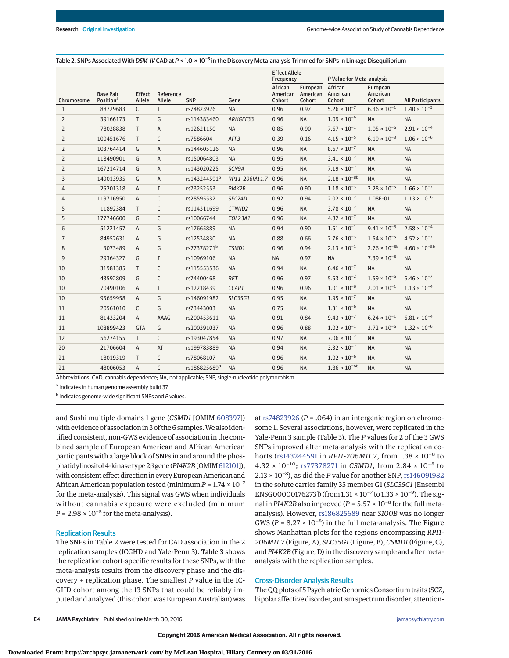|                |                                           |                         |                     |                          |               | <b>Effect Allele</b><br>Frequency |                                | P Value for Meta-analysis     |                                |                         |
|----------------|-------------------------------------------|-------------------------|---------------------|--------------------------|---------------|-----------------------------------|--------------------------------|-------------------------------|--------------------------------|-------------------------|
| Chromosome     | <b>Base Pair</b><br>Position <sup>a</sup> | <b>Effect</b><br>Allele | Reference<br>Allele | <b>SNP</b>               | Gene          | African<br>American<br>Cohort     | European<br>American<br>Cohort | African<br>American<br>Cohort | European<br>American<br>Cohort | <b>All Participants</b> |
| $1\,$          | 88729683                                  | $\mathsf{C}$            | T                   | rs74823926               | <b>NA</b>     | 0.96                              | 0.97                           | $5.26 \times 10^{-7}$         | $6.36 \times 10^{-1}$          | $1.40 \times 10^{-5}$   |
| $\overline{2}$ | 39166173                                  | T.                      | G                   | rs114383460              | ARHGEF33      | 0.96                              | <b>NA</b>                      | $1.09 \times 10^{-6}$         | <b>NA</b>                      | <b>NA</b>               |
| $\overline{2}$ | 78028838                                  | T.                      | Α                   | rs12621150               | <b>NA</b>     | 0.85                              | 0.90                           | $7.67 \times 10^{-1}$         | $1.05 \times 10^{-6}$          | $2.91 \times 10^{-4}$   |
| $\overline{2}$ | 100451676                                 | T.                      | C                   | rs7586604                | AFF3          | 0.39                              | 0.16                           | $4.15 \times 10^{-5}$         | $6.19 \times 10^{-3}$          | $1.06 \times 10^{-6}$   |
| $\overline{2}$ | 103764414                                 | G                       | Α                   | rs144605126              | <b>NA</b>     | 0.96                              | <b>NA</b>                      | $8.67 \times 10^{-7}$         | <b>NA</b>                      | <b>NA</b>               |
| $\overline{2}$ | 118490901                                 | G                       | Α                   | rs150064803              | <b>NA</b>     | 0.95                              | <b>NA</b>                      | $3.41 \times 10^{-7}$         | <b>NA</b>                      | <b>NA</b>               |
| $\overline{2}$ | 167214714                                 | G                       | Α                   | rs143020225              | SCN9A         | 0.95                              | <b>NA</b>                      | $7.19 \times 10^{-7}$         | <b>NA</b>                      | <b>NA</b>               |
| 3              | 149013935                                 | G                       | Α                   | rs143244591 <sup>b</sup> | RP11-206M11.7 | 0.96                              | <b>NA</b>                      | $2.18 \times 10^{-8b}$        | <b>NA</b>                      | <b>NA</b>               |
| $\overline{4}$ | 25201318                                  | A                       | T                   | rs73252553               | PI4K2B        | 0.96                              | 0.90                           | $1.18 \times 10^{-3}$         | $2.28 \times 10^{-5}$          | $1.66 \times 10^{-7}$   |
| $\overline{4}$ | 119716950                                 | $\mathsf{A}$            | C                   | rs28595532               | SEC24D        | 0.92                              | 0.94                           | $2.02 \times 10^{-7}$         | 1.08E-01                       | $1.13 \times 10^{-6}$   |
| 5              | 11892384                                  | T.                      | C                   | rs114311699              | CTNND2        | 0.96                              | <b>NA</b>                      | $3.78 \times 10^{-7}$         | <b>NA</b>                      | <b>NA</b>               |
| 5              | 177746600                                 | G                       | C                   | rs10066744               | COL23A1       | 0.96                              | <b>NA</b>                      | $4.82 \times 10^{-7}$         | <b>NA</b>                      | <b>NA</b>               |
| 6              | 51221457                                  | Α                       | G                   | rs17665889               | <b>NA</b>     | 0.94                              | 0.90                           | $1.51 \times 10^{-1}$         | $9.41 \times 10^{-8}$          | $2.58 \times 10^{-4}$   |
| $\overline{7}$ | 84952631                                  | A                       | G                   | rs12534830               | <b>NA</b>     | 0.88                              | 0.66                           | $7.76 \times 10^{-3}$         | $1.54 \times 10^{-5}$          | $4.52 \times 10^{-7}$   |
| $8\,$          | 3073489                                   | A                       | G                   | rs77378271 <sup>b</sup>  | CSMD1         | 0.96                              | 0.94                           | $2.13 \times 10^{-1}$         | $2.76 \times 10^{-8b}$         | $4.60 \times 10^{-8b}$  |
| $9\,$          | 29364327                                  | G                       | T                   | rs10969106               | <b>NA</b>     | <b>NA</b>                         | 0.97                           | <b>NA</b>                     | $7.39 \times 10^{-8}$          | <b>NA</b>               |
| 10             | 31981385                                  | T                       | C                   | rs115553536              | <b>NA</b>     | 0.94                              | <b>NA</b>                      | $6.46 \times 10^{-7}$         | <b>NA</b>                      | <b>NA</b>               |
| 10             | 43592809                                  | G                       | C                   | rs74400468               | <b>RET</b>    | 0.96                              | 0.97                           | $5.53 \times 10^{-2}$         | $1.59 \times 10^{-6}$          | $6.46 \times 10^{-7}$   |
| 10             | 70490106                                  | A                       | T                   | rs12218439               | CCAR1         | 0.96                              | 0.96                           | $1.01 \times 10^{-6}$         | $2.01 \times 10^{-1}$          | $1.13 \times 10^{-4}$   |
| 10             | 95659958                                  | A                       | G                   | rs146091982              | SLC35G1       | 0.95                              | <b>NA</b>                      | $1.95 \times 10^{-7}$         | <b>NA</b>                      | <b>NA</b>               |
| 11             | 20561010                                  | C                       | G                   | rs73443003               | <b>NA</b>     | 0.75                              | <b>NA</b>                      | $1.31 \times 10^{-6}$         | <b>NA</b>                      | <b>NA</b>               |
| 11             | 81433204                                  | A                       | AAAG                | rs200453611              | <b>NA</b>     | 0.91                              | 0.84                           | $9.43 \times 10^{-7}$         | $6.24 \times 10^{-1}$          | $6.81 \times 10^{-4}$   |
| 11             | 108899423                                 | <b>GTA</b>              | G                   | rs200391037              | <b>NA</b>     | 0.96                              | 0.88                           | $1.02 \times 10^{-1}$         | $3.72 \times 10^{-6}$          | $1.32 \times 10^{-6}$   |
| 12             | 56274155                                  | $\mathsf{T}$            | C                   | rs193047854              | <b>NA</b>     | 0.97                              | <b>NA</b>                      | $7.06 \times 10^{-7}$         | <b>NA</b>                      | <b>NA</b>               |
| 20             | 21706604                                  | $\mathsf{A}$            | AT                  | rs199783889              | <b>NA</b>     | 0.94                              | <b>NA</b>                      | $3.32 \times 10^{-7}$         | <b>NA</b>                      | <b>NA</b>               |
| 21             | 18019319                                  | T.                      | C                   | rs78068107               | <b>NA</b>     | 0.96                              | <b>NA</b>                      | $1.02 \times 10^{-6}$         | <b>NA</b>                      | <b>NA</b>               |
| 21             | 48006053                                  | A                       | C                   | rs186825689b             | <b>NA</b>     | 0.96                              | <b>NA</b>                      | $1.86 \times 10^{-8b}$        | <b>NA</b>                      | <b>NA</b>               |

Abbreviations: CAD, cannabis dependence; NA, not applicable; SNP, single-nucleotide polymorphism.

a Indicates in human genome assembly build 37.

**b** Indicates genome-wide significant SNPs and P values.

and Sushi multiple domains 1 gene (*CSMD1* [OMIM [608397\]](http://omim.org/entry/608397)) with evidence of association in 3 of the 6 samples. We also identified consistent, non-GWS evidence of association in the combined sample of European American and African American participants with a large block of SNPs in and around the phosphatidylinositol 4-kinase type 2β gene (*PI4K2B*[OMI[M612101\]](http://omim.org/entry/612101)), with consistent effect direction in every European American and African American population tested (minimum *P* = 1.74 × 10−7 for the meta-analysis). This signal was GWS when individuals without cannabis exposure were excluded (minimum  $P = 2.98 \times 10^{-8}$  for the meta-analysis).

## Replication Results

The SNPs in Table 2 were tested for CAD association in the 2 replication samples (ICGHD and Yale-Penn 3). Table 3 shows the replication cohort-specific results for these SNPs, with the meta-analysis results from the discovery phase and the discovery + replication phase. The smallest *P* value in the IC-GHD cohort among the 13 SNPs that could be reliably imputed and analyzed (this cohort was European Australian) was at [rs74823926](http://www.ncbi.nlm.nih.gov/snp/74823926) (*P* = .064) in an intergenic region on chromosome 1. Several associations, however, were replicated in the Yale-Penn 3 sample (Table 3). The *P* values for 2 of the 3 GWS SNPs improved after meta-analysis with the replication cohorts [\(rs143244591](http://www.ncbi.nlm.nih.gov/snp/143244591) in *RP11-206M11.7*, from 1.38 × 10−8 to 4.32 × 10−10; [rs77378271](http://www.ncbi.nlm.nih.gov/snp/77378271) in *CSMD1*, from 2.84 × 10−8 to 2.13 × 10−8), as did the *P* value for another SNP, [rs146091982](http://www.ncbi.nlm.nih.gov/snp/146091982) in the solute carrier family 35 member G1 (*SLC35G1* [Ensembl ENSG00000176273]) (from 1.31 × 10<sup>-7</sup> to 1.33 × 10<sup>-9</sup>). The signal in *PI4K2B* also improved (*P* = 5.57 × 10−8 for the full metaanalysis). However, [rs186825689](http://www.ncbi.nlm.nih.gov/snp/186825689) near *S100B* was no longer GWS ( $P = 8.27 \times 10^{-8}$ ) in the full meta-analysis. The Figure shows Manhattan plots for the regions encompassing *RP11- 206M11.7* (Figure, A), *SLC35G1* (Figure, B), *CSMD1* (Figure, C), and PI4K2B (Figure, D) in the discovery sample and after metaanalysis with the replication samples.

## Cross-Disorder Analysis Results

The QQ plots of 5 Psychiatric Genomics Consortium traits (SCZ, bipolar affective disorder, autism spectrum disorder, attention-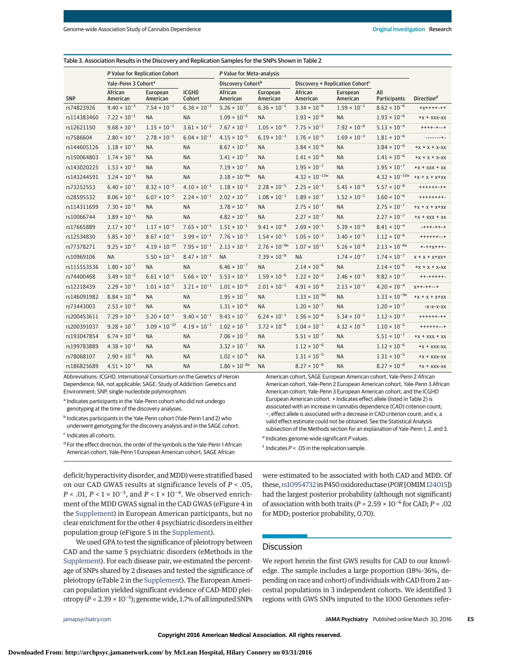|             | P Value for Replication Cohort  |                        |                        | P Value for Meta-analysis     |                        |                                             |                       |                         |                        |
|-------------|---------------------------------|------------------------|------------------------|-------------------------------|------------------------|---------------------------------------------|-----------------------|-------------------------|------------------------|
|             | Yale-Penn 3 Cohort <sup>a</sup> |                        |                        | Discovery Cohort <sup>b</sup> |                        | Discovery + Replication Cohort <sup>c</sup> |                       |                         |                        |
| <b>SNP</b>  | African<br>American             | European<br>American   | <b>ICGHD</b><br>Cohort | African<br>American           | European<br>American   | African<br>American                         | European<br>American  | All<br>Participants     | Direction <sup>d</sup> |
| rs74823926  | $9.40 \times 10^{-3}$           | $7.54 \times 10^{-1}$  | $6.36 \times 10^{-2}$  | $5.26 \times 10^{-7}$         | $6.36 \times 10^{-1}$  | $3.34 \times 10^{-6}$                       | $1.59 \times 10^{-1}$ | $8.62 \times 10^{-6}$   | $+x+++-++$             |
| rs114383460 | $7.22 \times 10^{-1}$           | <b>NA</b>              | <b>NA</b>              | $1.09 \times 10^{-6}$         | <b>NA</b>              | $1.93 \times 10^{-6}$                       | <b>NA</b>             | $1.93 \times 10^{-6}$   | $+x + xxx-xx$          |
| rs12621150  | $9.68 \times 10^{-1}$           | $1.15 \times 10^{-1}$  | $3.61 \times 10^{-1}$  | $7.67 \times 10^{-1}$         | $1.05 \times 10^{-6}$  | $7.75 \times 10^{-1}$                       | $7.92 \times 10^{-6}$ | $5.13 \times 10^{-4}$   | $++++-+-+$             |
| rs7586604   | $2.80 \times 10^{-1}$           | $2.78 \times 10^{-1}$  | $6.04 \times 10^{-1}$  | $4.15 \times 10^{-5}$         | $6.19 \times 10^{-3}$  | $1.76 \times 10^{-5}$                       | $1.69 \times 10^{-2}$ | $1.81 \times 10^{-6}$   | -------+-              |
| rs144605126 | $1.18 \times 10^{-1}$           | <b>NA</b>              | <b>NA</b>              | $8.67 \times 10^{-7}$         | <b>NA</b>              | $3.84 \times 10^{-6}$                       | <b>NA</b>             | $3.84 \times 10^{-6}$   | $+x + x + x$ -xx       |
| rs150064803 | $1.74 \times 10^{-1}$           | <b>NA</b>              | <b>NA</b>              | $3.41 \times 10^{-7}$         | <b>NA</b>              | $1.41 \times 10^{-6}$                       | <b>NA</b>             | $1.41 \times 10^{-6}$   | $+X + X + X-XX$        |
| rs143020225 | $1.53 \times 10^{-1}$           | <b>NA</b>              | <b>NA</b>              | $7.19 \times 10^{-7}$         | <b>NA</b>              | $1.95 \times 10^{-7}$                       | <b>NA</b>             | $1.95 \times 10^{-7}$   | $+x + xxx + xx$        |
| rs143244591 | $3.24 \times 10^{-3}$           | <b>NA</b>              | <b>NA</b>              | $2.18 \times 10^{-8e}$        | <b>NA</b>              | $4.32 \times 10^{-10e}$                     | <b>NA</b>             | $4.32 \times 10^{-10e}$ | $+X + X + X+XX$        |
| rs73252553  | $6.40 \times 10^{-1}$           | $8.32 \times 10^{-2}$  | $4.10 \times 10^{-1}$  | $1.18 \times 10^{-3}$         | $2.28 \times 10^{-5}$  | $2.25 \times 10^{-3}$                       | $5.45 \times 10^{-6}$ | $5.57 \times 10^{-8}$   | ++++++-++              |
| rs28595532  | $8.06 \times 10^{-1}$           | $6.07 \times 10^{-2}$  | $2.24 \times 10^{-1}$  | $2.02 \times 10^{-7}$         | $1.08 \times 10^{-1}$  | $1.89 \times 10^{-7}$                       | $1.52 \times 10^{-1}$ | $3.60 \times 10^{-6}$   | $+++++++$              |
| rs114311699 | $7.30 \times 10^{-1}$           | <b>NA</b>              | <b>NA</b>              | $3.78 \times 10^{-7}$         | <b>NA</b>              | $2.75 \times 10^{-7}$                       | <b>NA</b>             | $2.75 \times 10^{-7}$   | $+X + X + X+XX$        |
| rs10066744  | $3.89 \times 10^{-1}$           | <b>NA</b>              | <b>NA</b>              | $4.82 \times 10^{-7}$         | <b>NA</b>              | $2.27 \times 10^{-7}$                       | <b>NA</b>             | $2.27 \times 10^{-7}$   | $+x + xxx + xx$        |
| rs17665889  | $2.17 \times 10^{-1}$           | $1.17 \times 10^{-1}$  | $7.65 \times 10^{-1}$  | $1.51 \times 10^{-1}$         | $9.41 \times 10^{-8}$  | $2.69 \times 10^{-1}$                       | $5.39 \times 10^{-6}$ | $8.41 \times 10^{-4}$   | $-+++ -+ +- +$         |
| rs12534830  | $5.85 \times 10^{-1}$           | $8.67 \times 10^{-1}$  | $3.99 \times 10^{-1}$  | $7.76 \times 10^{-3}$         | $1.54 \times 10^{-5}$  | $1.05 \times 10^{-2}$                       | $3.40 \times 10^{-5}$ | $1.12 \times 10^{-6}$   | ++++++--+              |
| rs77378271  | $9.25 \times 10^{-2}$           | $4.19 \times 10^{-2f}$ | $7.95 \times 10^{-1}$  | $2.13 \times 10^{-1}$         | $2.76 \times 10^{-8e}$ | $1.07 \times 10^{-1}$                       | $5.16 \times 10^{-8}$ | $2.13 \times 10^{-8e}$  | $+ - + + x + + + -$    |
| rs10969106  | <b>NA</b>                       | $5.50 \times 10^{-1}$  | $8.47 \times 10^{-1}$  | <b>NA</b>                     | $7.39 \times 10^{-8}$  | <b>NA</b>                                   | $1.74 \times 10^{-7}$ | $1.74 \times 10^{-7}$   | $X + X + X+XX+$        |
| rs115553536 | $1.80 \times 10^{-1}$           | <b>NA</b>              | <b>NA</b>              | $6.46 \times 10^{-7}$         | <b>NA</b>              | $2.14 \times 10^{-6}$                       | <b>NA</b>             | $2.14 \times 10^{-6}$   | $+X + X + X-XX$        |
| rs74400468  | $3.49 \times 10^{-2}$           | $6.61 \times 10^{-1}$  | $5.66 \times 10^{-1}$  | $5.53 \times 10^{-2}$         | $1.59 \times 10^{-6}$  | $1.22 \times 10^{-2}$                       | $2.46 \times 10^{-5}$ | $9.82 \times 10^{-7}$   | ++-+++++-              |
| rs12218439  | $2.29 \times 10^{-1}$           | $1.01 \times 10^{-1}$  | $3.21 \times 10^{-1}$  | $1.01 \times 10^{-6}$         | $2.01 \times 10^{-1}$  | $4.91 \times 10^{-6}$                       | $2.13 \times 10^{-1}$ | $4.20 \times 10^{-4}$   | $X + + - + + - - +$    |
| rs146091982 | $8.84 \times 10^{-4}$           | <b>NA</b>              | <b>NA</b>              | $1.95 \times 10^{-7}$         | <b>NA</b>              | $1.33 \times 10^{-9e}$                      | <b>NA</b>             | $1.33 \times 10^{-9e}$  | $+X + X + X+XX$        |
| rs73443003  | $2.53 \times 10^{-2}$           | <b>NA</b>              | <b>NA</b>              | $1.31 \times 10^{-6}$         | <b>NA</b>              | $1.20 \times 10^{-7}$                       | <b>NA</b>             | $1.20 \times 10^{-7}$   | $-X-X-X-X$             |
| rs200453611 | $7.29 \times 10^{-1}$           | $5.20 \times 10^{-1}$  | $9.40 \times 10^{-1}$  | $9.43 \times 10^{-7}$         | $6.24 \times 10^{-1}$  | $1.56 \times 10^{-6}$                       | $5.34 \times 10^{-1}$ | $1.12 \times 10^{-3}$   | ++++++-++              |
| rs200391037 | $9.28 \times 10^{-1}$           | $3.09 \times 10^{-2f}$ | $4.19 \times 10^{-1}$  | $1.02 \times 10^{-1}$         | $3.72 \times 10^{-6}$  | $1.04 \times 10^{-1}$                       | $4.32 \times 10^{-5}$ | $1.10 \times 10^{-5}$   | ++++++--+              |
| rs193047854 | $6.74 \times 10^{-1}$           | <b>NA</b>              | <b>NA</b>              | $7.06 \times 10^{-7}$         | <b>NA</b>              | $5.51 \times 10^{-7}$                       | <b>NA</b>             | $5.51 \times 10^{-7}$   | $+x + xxx + xx$        |
| rs199783889 | $4.38 \times 10^{-1}$           | <b>NA</b>              | <b>NA</b>              | $3.32 \times 10^{-7}$         | <b>NA</b>              | $1.12 \times 10^{-6}$                       | <b>NA</b>             | $1.12 \times 10^{-6}$   | $+x + xxx-xx$          |
| rs78068107  | $2.90 \times 10^{-2}$           | <b>NA</b>              | <b>NA</b>              | $1.02 \times 10^{-6}$         | <b>NA</b>              | $1.31 \times 10^{-5}$                       | <b>NA</b>             | $1.31 \times 10^{-5}$   | $+x + xxx-xx$          |
| rs186825689 | $4.51 \times 10^{-1}$           | <b>NA</b>              | <b>NA</b>              | $1.86 \times 10^{-8e}$        | <b>NA</b>              | $8.27 \times 10^{-8}$                       | <b>NA</b>             | $8.27 \times 10^{-8}$   | $+x + XXX-XX$          |

Abbreviations: ICGHD, International Consortium on the Genetics of Heroin Dependence; NA, not applicable; SAGE, Study of Addiction: Genetics and Environment; SNP, single-nucleotide polymorphism.

<sup>a</sup> Indicates participants in the Yale-Penn cohort who did not undergo genotyping at the time of the discovery analyses.

<sup>b</sup> Indicates participants in the Yale-Penn cohort (Yale-Penn 1 and 2) who underwent genotyping for the discovery analysis and in the SAGE cohort. <sup>c</sup> Indicates all cohorts.

<sup>d</sup> For the effect direction, the order of the symbols is the Yale-Penn 1 African American cohort, Yale-Penn 1 European American cohort, SAGE African

American cohort, SAGE European American cohort, Yale-Penn 2 African American cohort, Yale-Penn 2 European American cohort, Yale-Penn 3 African American cohort, Yale-Penn 3 European American cohort, and the ICGHD European American cohort. + Indicates effect allele (listed in Table 2) is associated with an increase in cannabis dependence (CAD) criterion count; −, effect allele is associated with a decrease in CAD criterion count; and x, a valid effect estimate could not be obtained. See the Statistical Analysis subsection of the Methods section for an explanation of Yale-Penn 1, 2, and 3. e Indicates genome-wide significant P values.

 $f$  Indicates  $P < .05$  in the replication sample.

deficit/hyperactivity disorder, and MDD) were stratified based on our CAD GWAS results at significance levels of *P* < .05, *P* < .01, *P* < 1 × 10<sup>-3</sup>, and *P* < 1 × 10<sup>-4</sup>. We observed enrichment of the MDD GWAS signal in the CAD GWAS (eFigure 4 in the [Supplement\)](http://jama.jamanetwork.com/article.aspx?doi=10.1001/jamapsychiatry.2016.0036&utm_campaign=articlePDF%26utm_medium=articlePDFlink%26utm_source=articlePDF%26utm_content=jamapsychiatry.2016.0036) in European American participants, but no clear enrichment for the other 4 psychiatric disorders in either population group (eFigure 5 in the [Supplement\)](http://jama.jamanetwork.com/article.aspx?doi=10.1001/jamapsychiatry.2016.0036&utm_campaign=articlePDF%26utm_medium=articlePDFlink%26utm_source=articlePDF%26utm_content=jamapsychiatry.2016.0036).

We used GPA to test the significance of pleiotropy between CAD and the same 5 psychiatric disorders (eMethods in the [Supplement\)](http://jama.jamanetwork.com/article.aspx?doi=10.1001/jamapsychiatry.2016.0036&utm_campaign=articlePDF%26utm_medium=articlePDFlink%26utm_source=articlePDF%26utm_content=jamapsychiatry.2016.0036). For each disease pair, we estimated the percentage of SNPs shared by 2 diseases and tested the significance of pleiotropy (eTable 2 in the [Supplement\)](http://jama.jamanetwork.com/article.aspx?doi=10.1001/jamapsychiatry.2016.0036&utm_campaign=articlePDF%26utm_medium=articlePDFlink%26utm_source=articlePDF%26utm_content=jamapsychiatry.2016.0036). The European American population yielded significant evidence of CAD-MDD pleiotropy (*P* = 2.39 × 10−5); genomewide, 1.7% of all imputed SNPs

were estimated to be associated with both CAD and MDD. Of these, [rs10954732](http://www.ncbi.nlm.nih.gov/snp/10954732)in P450 oxidoreductase (*POR*[OMI[M124015\]](http://omim.org/entry/124015)) had the largest posterior probability (although not significant) of association with both traits (*P* = 2.59 × 10−6 for CAD; *P* = .02 for MDD; posterior probability, 0.70).

#### Discussion

We report herein the first GWS results for CAD to our knowledge. The sample includes a large proportion (18%-36%, depending on race and cohort) of individuals with CAD from 2 ancestral populations in 3 independent cohorts. We identified 3 regions with GWS SNPs imputed to the 1000 Genomes refer-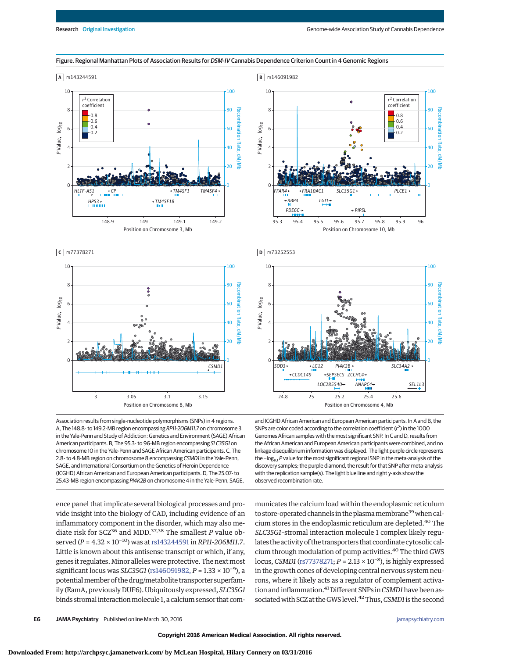

Figure. Regional Manhattan Plots of Association Results for DSM-IV Cannabis Dependence Criterion Count in 4 Genomic Regions

Association results from single-nucleotide polymorphisms (SNPs) in 4 regions. A, The 148.8- to 149.2-MB region encompassing RP11-206M11.7 on chromosome 3 in the Yale-Penn and Study of Addiction: Genetics and Environment (SAGE) African American participants. B, The 95.3- to 96-MB region encompassing SLC35G1 on chromosome 10 in the Yale-Penn and SAGE African American participants. C, The 2.8- to 4.8-MB region on chromosome 8 encompassing CSMD1 in the Yale-Penn, SAGE, and International Consortium on the Genetics of Heroin Dependence (ICGHD) African American and European American participants. D, The 25.07- to 25.43-MB region encompassing PI4K2B on chromosome 4 in the Yale-Penn, SAGE,

ence panel that implicate several biological processes and provide insight into the biology of CAD, including evidence of an inflammatory component in the disorder, which may also mediate risk for SCZ<sup>36</sup> and MDD.<sup>37,38</sup> The smallest *P* value observed (*P* = 4.32 × 10−10) was at [rs143244591](http://www.ncbi.nlm.nih.gov/snp/143244591) in *RP11-206M11.7*. Little is known about this antisense transcript or which, if any, genes it regulates. Minor alleles were protective. The next most significant locus was *SLC35G1* [\(rs146091982,](http://www.ncbi.nlm.nih.gov/snp/146091982) *P* = 1.33 × 10−9), a potential member of the drug/metabolite transporter superfamily (EamA, previously DUF6). Ubiquitously expressed, *SLC35G1* binds stromal interaction molecule 1, a calcium sensor that comand ICGHD African American and European American participants. In A and B, the SNPs are color coded according to the correlation coefficient  $(r^2)$  in the 1000 Genomes African samples with the most significant SNP. In C and D, results from the African American and European American participants were combined, and no linkage disequilibrium information was displayed. The light purple circle represents the −log<sub>10</sub> P value for the most significant regional SNP in the meta-analysis of the discovery samples; the purple diamond, the result for that SNP after meta-analysis with the replication sample(s). The light blue line and right y-axis show the observed recombination rate.

municates the calcium load within the endoplasmic reticulum to store-operated channels in the plasma membrane<sup>39</sup> when calcium stores in the endoplasmic reticulum are depleted.<sup>40</sup> The *SLC35G1*–stromal interaction molecule 1 complex likely regulates the activity of the transporters that coordinate cytosolic calcium through modulation of pump activities.40 The third GWS locus, *CSMD1* [\(rs77378271;](http://www.ncbi.nlm.nih.gov/snp/77378271) *P* = 2.13 × 10−8), is highly expressed in the growth cones of developing central nervous system neurons, where it likely acts as a regulator of complement activation and inflammation.<sup>41</sup> Different SNPs in *CSMD1* have been associated with SCZ at the GWS level.<sup>42</sup> Thus, *CSMD1* is the second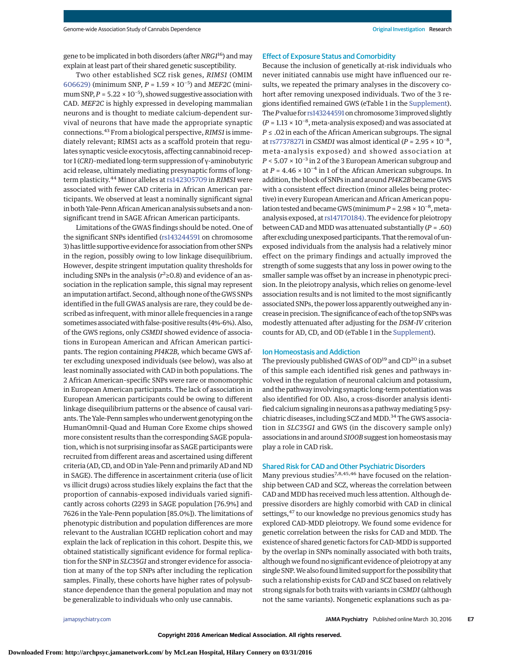gene to be implicated in both disorders (after *NRG1*16) and may explain at least part of their shared genetic susceptibility.

Two other established SCZ risk genes, *RIMS1* (OMIM [606629\)](http://omim.org/entry/606629) (minimum SNP, *P* = 1.59 × 10−5) and *MEF2C* (minimum SNP,  $P = 5.22 \times 10^{-5}$ ), showed suggestive association with CAD. *MEF2C* is highly expressed in developing mammalian neurons and is thought to mediate calcium-dependent survival of neurons that have made the appropriate synaptic connections.<sup>43</sup> From a biological perspective, *RIMS1* is immediately relevant; RIMS1 acts as a scaffold protein that regulates synaptic vesicle exocytosis, affecting cannabinoid receptor 1 (*CR1*)–mediated long-term suppression of γ-aminobutyric acid release, ultimately mediating presynaptic forms of longterm plasticity.44 Minor alleles at [rs142305709](http://www.ncbi.nlm.nih.gov/snp/142305709) in *RIMS1* were associated with fewer CAD criteria in African American participants. We observed at least a nominally significant signal in both Yale-Penn African American analysis subsets and a nonsignificant trend in SAGE African American participants.

Limitations of the GWAS findings should be noted. One of the significant SNPs identified [\(rs143244591](http://www.ncbi.nlm.nih.gov/snp/143244591) on chromosome 3) has little supportive evidence for association from other SNPs in the region, possibly owing to low linkage disequilibrium. However, despite stringent imputation quality thresholds for including SNPs in the analysis (*r*<sup>2</sup> ≥0.8) and evidence of an association in the replication sample, this signal may represent an imputation artifact. Second, although none of the GWS SNPs identified in the full GWAS analysis are rare, they could be described as infrequent, with minor allele frequencies in a range sometimes associatedwith false-positive results (4%-6%). Also, of the GWS regions, only *CSMD1* showed evidence of associations in European American and African American participants. The region containing *PI4K2B,* which became GWS after excluding unexposed individuals (see below), was also at least nominally associated with CAD in both populations. The 2 African American–specific SNPs were rare or monomorphic in European American participants. The lack of association in European American participants could be owing to different linkage disequilibrium patterns or the absence of causal variants. The Yale-Penn samples who underwent genotyping on the HumanOmni1-Quad and Human Core Exome chips showed more consistent results than the corresponding SAGE population, which is not surprising insofar as SAGE participants were recruited from different areas and ascertained using different criteria (AD, CD, and OD in Yale-Penn and primarily AD and ND in SAGE). The difference in ascertainment criteria (use of licit vs illicit drugs) across studies likely explains the fact that the proportion of cannabis-exposed individuals varied significantly across cohorts (2293 in SAGE population [76.9%] and 7626 in the Yale-Penn population [85.0%]). The limitations of phenotypic distribution and population differences are more relevant to the Australian ICGHD replication cohort and may explain the lack of replication in this cohort. Despite this, we obtained statistically significant evidence for formal replication for the SNP in *SLC35G1* and stronger evidence for association at many of the top SNPs after including the replication samples. Finally, these cohorts have higher rates of polysubstance dependence than the general population and may not be generalizable to individuals who only use cannabis.

#### Effect of Exposure Status and Comorbidity

Because the inclusion of genetically at-risk individuals who never initiated cannabis use might have influenced our results, we repeated the primary analyses in the discovery cohort after removing unexposed individuals. Two of the 3 regions identified remained GWS (eTable 1 in the [Supplement\)](http://jama.jamanetwork.com/article.aspx?doi=10.1001/jamapsychiatry.2016.0036&utm_campaign=articlePDF%26utm_medium=articlePDFlink%26utm_source=articlePDF%26utm_content=jamapsychiatry.2016.0036). The*P*value for [rs143244591](http://www.ncbi.nlm.nih.gov/snp/143244591)on chromosome 3 improved slightly (*P* = 1.13 × 10−8, meta-analysis exposed) and was associated at *P* ≤ .02 in each of the African American subgroups. The signal at [rs77378271](http://www.ncbi.nlm.nih.gov/snp/77378271) in *CSMD1* was almost identical ( $P = 2.95 \times 10^{-8}$ , meta-analysis exposed) and showed association at *P* < 5.07 × 10−3 in 2 of the 3 European American subgroup and at  $P = 4.46 \times 10^{-4}$  in 1 of the African American subgroups. In addition, the block of SNPs in and around*PI4K2B*became GWS with a consistent effect direction (minor alleles being protective) in every European American and African American population tested and became GWS (minimum*P* = 2.98 × 10−8,metaanalysis exposed, at [rs147170184\).](http://www.ncbi.nlm.nih.gov/snp/147170184) The evidence for pleiotropy between CAD and MDD was attenuated substantially (*P* = .60) after excluding unexposed participants. That the removal of unexposed individuals from the analysis had a relatively minor effect on the primary findings and actually improved the strength of some suggests that any loss in power owing to the smaller sample was offset by an increase in phenotypic precision. In the pleiotropy analysis, which relies on genome-level association results and is not limited to the most significantly associated SNPs, the power loss apparently outweighed any increase in precision. The significance of each of the top SNPs was modestly attenuated after adjusting for the *DSM-IV* criterion counts for AD, CD, and OD (eTable 1 in the [Supplement\)](http://jama.jamanetwork.com/article.aspx?doi=10.1001/jamapsychiatry.2016.0036&utm_campaign=articlePDF%26utm_medium=articlePDFlink%26utm_source=articlePDF%26utm_content=jamapsychiatry.2016.0036).

#### Ion Homeostasis and Addiction

The previously published GWAS of  $OD^{19}$  and  $CD^{20}$  in a subset of this sample each identified risk genes and pathways involved in the regulation of neuronal calcium and potassium, and the pathway involving synaptic long-term potentiation was also identified for OD. Also, a cross-disorder analysis identified calcium signaling in neurons as a pathway mediating 5 psychiatric diseases, including SCZ and MDD.<sup>34</sup> The GWS association in *SLC35G1* and GWS (in the discovery sample only) associations in and around*S100B*suggest ion homeostasismay play a role in CAD risk.

## Shared Risk for CAD and Other Psychiatric Disorders

Many previous studies<sup>7,8,45,46</sup> have focused on the relationship between CAD and SCZ, whereas the correlation between CAD and MDD has received much less attention. Although depressive disorders are highly comorbid with CAD in clinical settings,<sup>47</sup> to our knowledge no previous genomics study has explored CAD-MDD pleiotropy. We found some evidence for genetic correlation between the risks for CAD and MDD. The existence of shared genetic factors for CAD-MDD is supported by the overlap in SNPs nominally associated with both traits, although we found no significant evidence of pleiotropy at any single SNP.We also found limited support for the possibility that such a relationship exists for CAD and SCZ based on relatively strong signals for both traits with variants in *CSMD1* (although not the same variants). Nongenetic explanations such as pa-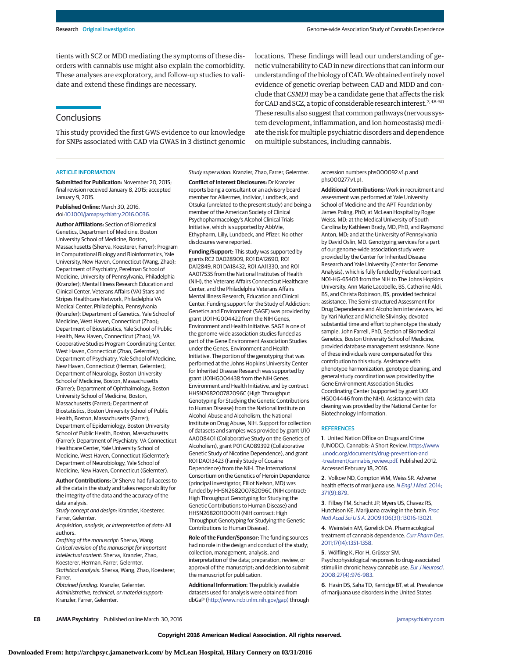tients with SCZ or MDD mediating the symptoms of these disorders with cannabis use might also explain the comorbidity. These analyses are exploratory, and follow-up studies to validate and extend these findings are necessary.

## **Conclusions**

This study provided the first GWS evidence to our knowledge for SNPs associated with CAD via GWAS in 3 distinct genomic

#### **ARTICLE INFORMATION**

**Submitted for Publication:** November 20, 2015; final revision received January 8, 2015; accepted January 9, 2015.

**Published Online:** March 30, 2016. doi[:10.1001/jamapsychiatry.2016.0036.](http://jama.jamanetwork.com/article.aspx?doi=10.1001/jamapsychiatry.2016.0036&utm_campaign=articlePDF%26utm_medium=articlePDFlink%26utm_source=articlePDF%26utm_content=jamapsychiatry.2016.0036)

**Author Affiliations:** Section of Biomedical Genetics, Department of Medicine, Boston University School of Medicine, Boston, Massachusetts (Sherva, Koesterer, Farrer); Program in Computational Biology and Bioinformatics, Yale University, New Haven, Connecticut (Wang, Zhao); Department of Psychiatry, Perelman School of Medicine, University of Pennsylvania, Philadelphia (Kranzler); Mental Illness Research Education and Clinical Center, Veterans Affairs (VA) Stars and Stripes Healthcare Network, Philadelphia VA Medical Center, Philadelphia, Pennsylvania (Kranzler); Department of Genetics, Yale School of Medicine, West Haven, Connecticut (Zhao); Department of Biostatistics, Yale School of Public Health, New Haven, Connecticut (Zhao); VA Cooperative Studies Program Coordinating Center, West Haven, Connecticut (Zhao, Gelernter); Department of Psychiatry, Yale School of Medicine, New Haven, Connecticut (Herman, Gelernter); Department of Neurology, Boston University School of Medicine, Boston, Massachusetts (Farrer); Department of Ophthalmology, Boston University School of Medicine, Boston, Massachusetts (Farrer); Department of Biostatistics, Boston University School of Public Health, Boston, Massachusetts (Farrer); Department of Epidemiology, Boston University School of Public Health, Boston, Massachusetts (Farrer); Department of Psychiatry, VA Connecticut Healthcare Center, Yale University School of Medicine, West Haven, Connecticut (Gelernter); Department of Neurobiology, Yale School of Medicine, New Haven, Connecticut (Gelernter).

**Author Contributions:** Dr Sherva had full access to all the data in the study and takes responsibility for the integrity of the data and the accuracy of the data analysis.

Study concept and design: Kranzler, Koesterer, Farrer, Gelernter.

Acquisition, analysis, or interpretation of data: All authors.

Drafting of the manuscript: Sherva, Wang. Critical revision of the manuscript for important intellectual content: Sherva, Kranzler, Zhao, Koesterer, Herman, Farrer, Gelernter. Statistical analysis: Sherva, Wang, Zhao, Koesterer, Farrer.

Obtained funding: Kranzler, Gelernter. Administrative, technical, or material support: Kranzler, Farrer, Gelernter.

Study supervision: Kranzler, Zhao, Farrer, Gelernter.

**Conflict of Interest Disclosures:** Dr Kranzler reports being a consultant or an advisory board member for Alkermes, Indivior, Lundbeck, and Otsuka (unrelated to the present study) and being a member of the American Society of Clinical Psychopharmacology's Alcohol Clinical Trials Initiative, which is supported by AbbVie, Ethypharm, Lilly, Lundbeck, and Pfizer. No other disclosures were reported.

**Funding/Support:** This study was supported by grants RC2 DA028909, R01 DA12690, R01 DA12849, R01 DA18432, R01 AA11330, and R01 AA017535 from the National Institutes of Health (NIH), the Veterans Affairs Connecticut Healthcare Center, and the Philadelphia Veterans Affairs Mental Illness Research, Education and Clinical Center. Funding support for the Study of Addiction: Genetics and Environment (SAGE) was provided by grant U01 HG004422 from the NIH Genes, Environment and Health Initiative. SAGE is one of the genome-wide association studies funded as part of the Gene Environment Association Studies under the Genes, Environment and Health Initiative. The portion of the genotyping that was performed at the Johns Hopkins University Center for Inherited Disease Research was supported by grant U01HG004438 from the NIH Genes, Environment and Health Initiative, and by contract HHSN268200782096C (High Throughput Genotyping for Studying the Genetic Contributions to Human Disease) from the National Institute on Alcohol Abuse and Alcoholism, the National Institute on Drug Abuse, NIH. Support for collection of datasets and samples was provided by grant U10 AA008401 (Collaborative Study on the Genetics of Alcoholism), grant P01 CA089392 (Collaborative Genetic Study of Nicotine Dependence), and grant R01 DA013423 (Family Study of Cocaine Dependence) from the NIH. The International Consortium on the Genetics of Heroin Dependence (principal investigator, Elliot Nelson, MD) was funded by HHSN268200782096C (NIH contract: High Throughput Genotyping for Studying the Genetic Contributions to Human Disease) and HHSN268201100011I (NIH contract: High Throughput Genotyping for Studying the Genetic Contributions to Human Disease).

**Role of the Funder/Sponsor:** The funding sources had no role in the design and conduct of the study; collection, management, analysis, and interpretation of the data; preparation, review, or approval of the manuscript; and decision to submit the manuscript for publication.

**Additional Information:** The publicly available datasets used for analysis were obtained from dbGaP [\(http://www.ncbi.nlm.nih.gov/gap\)](http://www.ncbi.nlm.nih.gov/gap) through

locations. These findings will lead our understanding of genetic vulnerability to CAD in new directions that can inform our understanding of the biology of CAD. We obtained entirely novel evidence of genetic overlap between CAD and MDD and conclude that *CSMD1* may be a candidate gene that affects the risk for CAD and SCZ, a topic of considerable research interest.<sup>7,48-50</sup> These results also suggest that common pathways (nervous system development, inflammation, and ion homeostasis) mediate the risk for multiple psychiatric disorders and dependence on multiple substances, including cannabis.

> accession numbers phs000092.v1.p and phs000277.v1.p1.

**Additional Contributions:** Work in recruitment and assessment was performed at Yale University School of Medicine and the APT Foundation by James Poling, PhD; at McLean Hospital by Roger Weiss, MD; at the Medical University of South Carolina by Kathleen Brady, MD, PhD, and Raymond Anton, MD; and at the University of Pennsylvania by David Oslin, MD. Genotyping services for a part of our genome-wide association study were provided by the Center for Inherited Disease Research and Yale University (Center for Genome Analysis), which is fully funded by Federal contract N01-HG-65403 from the NIH to The Johns Hopkins University. Ann Marie Lacobelle, BS, Catherine Aldi, BS, and Christa Robinson, BS, provided technical assistance. The Semi-structured Assessment for Drug Dependence and Alcoholism interviewers, led by Yari Nuñez and Michelle Slivinsky, devoted substantial time and effort to phenotype the study sample. John Farrell, PhD, Section of Biomedical Genetics, Boston University School of Medicine, provided database management assistance. None of these individuals were compensated for this contribution to this study. Assistance with phenotype harmonization, genotype cleaning, and general study coordination was provided by the Gene Environment Association Studies Coordinating Center (supported by grant U01 HG004446 from the NIH). Assistance with data cleaning was provided by the National Center for Biotechnology Information.

## **REFERENCES**

**1**. United Nation Office on Drugs and Crime (UNODC). Cannabis: A Short Review. [https://www](https://www.unodc.org/documents/drug-prevention-and-treatment/cannabis_review.pdf) [.unodc.org/documents/drug-prevention-and](https://www.unodc.org/documents/drug-prevention-and-treatment/cannabis_review.pdf) [-treatment/cannabis\\_review.pdf.](https://www.unodc.org/documents/drug-prevention-and-treatment/cannabis_review.pdf) Published 2012. Accessed February 18, 2016.

**2**. Volkow ND, Compton WM, Weiss SR. Adverse health effects of marijuana use. [N Engl J Med](http://www.ncbi.nlm.nih.gov/pubmed/25162899). 2014; [371\(9\):879.](http://www.ncbi.nlm.nih.gov/pubmed/25162899)

**3**. Filbey FM, Schacht JP, Myers US, Chavez RS, Hutchison KE. Marijuana craving in the brain. [Proc](http://www.ncbi.nlm.nih.gov/pubmed/19651613) Natl Acad SciUSA[. 2009;106\(31\):13016-13021.](http://www.ncbi.nlm.nih.gov/pubmed/19651613)

**4**. Weinstein AM, Gorelick DA. Pharmacological treatment of cannabis dependence. [Curr Pharm Des](http://www.ncbi.nlm.nih.gov/pubmed/21524266). [2011;17\(14\):1351-1358.](http://www.ncbi.nlm.nih.gov/pubmed/21524266)

**5**. Wölfling K, Flor H, Grüsser SM.

Psychophysiological responses to drug-associated stimuli in chronic heavy cannabis use. [Eur J Neurosci](http://www.ncbi.nlm.nih.gov/pubmed/18333968). [2008;27\(4\):976-983.](http://www.ncbi.nlm.nih.gov/pubmed/18333968)

**6**. Hasin DS, Saha TD, Kerridge BT, et al. Prevalence of marijuana use disorders in the United States